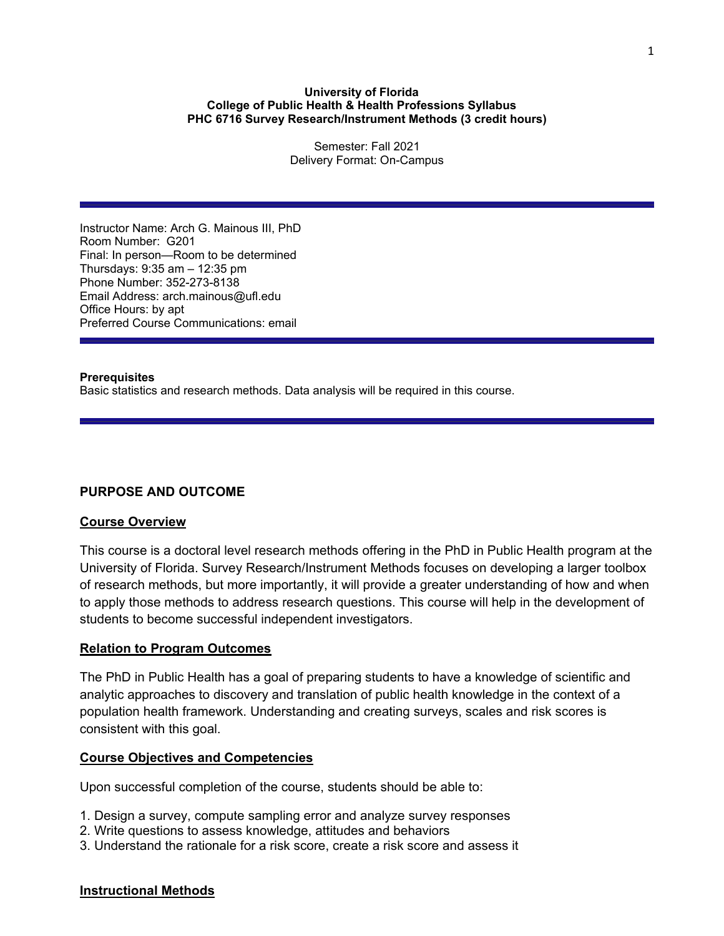## **University of Florida College of Public Health & Health Professions Syllabus PHC 6716 Survey Research/Instrument Methods (3 credit hours)**

Semester: Fall 2021 Delivery Format: On-Campus

Instructor Name: Arch G. Mainous III, PhD Room Number: G201 Final: In person—Room to be determined Thursdays: 9:35 am – 12:35 pm Phone Number: 352-273-8138 Email Address: arch.mainous@ufl.edu Office Hours: by apt Preferred Course Communications: email

## **Prerequisites**

Basic statistics and research methods. Data analysis will be required in this course.

## **PURPOSE AND OUTCOME**

## **Course Overview**

This course is a doctoral level research methods offering in the PhD in Public Health program at the University of Florida. Survey Research/Instrument Methods focuses on developing a larger toolbox of research methods, but more importantly, it will provide a greater understanding of how and when to apply those methods to address research questions. This course will help in the development of students to become successful independent investigators.

## **Relation to Program Outcomes**

The PhD in Public Health has a goal of preparing students to have a knowledge of scientific and analytic approaches to discovery and translation of public health knowledge in the context of a population health framework. Understanding and creating surveys, scales and risk scores is consistent with this goal.

## **Course Objectives and Competencies**

Upon successful completion of the course, students should be able to:

- 1. Design a survey, compute sampling error and analyze survey responses
- 2. Write questions to assess knowledge, attitudes and behaviors
- 3. Understand the rationale for a risk score, create a risk score and assess it

## **Instructional Methods**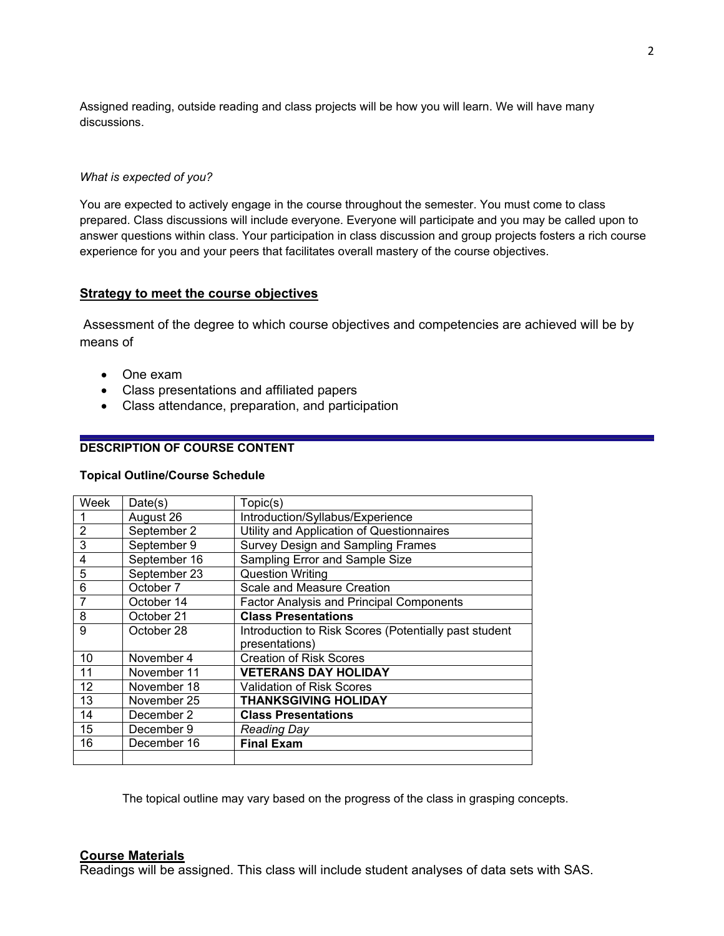Assigned reading, outside reading and class projects will be how you will learn. We will have many discussions.

### *What is expected of you?*

You are expected to actively engage in the course throughout the semester. You must come to class prepared. Class discussions will include everyone. Everyone will participate and you may be called upon to answer questions within class. Your participation in class discussion and group projects fosters a rich course experience for you and your peers that facilitates overall mastery of the course objectives.

## **Strategy to meet the course objectives**

Assessment of the degree to which course objectives and competencies are achieved will be by means of

- One exam
- Class presentations and affiliated papers
- Class attendance, preparation, and participation

# **DESCRIPTION OF COURSE CONTENT**

## **Topical Outline/Course Schedule**

| Week           | Date(s)      | Topic(s)                                              |
|----------------|--------------|-------------------------------------------------------|
|                | August 26    | Introduction/Syllabus/Experience                      |
| $\overline{2}$ | September 2  | Utility and Application of Questionnaires             |
| 3              | September 9  | Survey Design and Sampling Frames                     |
| 4              | September 16 | Sampling Error and Sample Size                        |
| 5              | September 23 | <b>Question Writing</b>                               |
| 6              | October 7    | Scale and Measure Creation                            |
| 7              | October 14   | <b>Factor Analysis and Principal Components</b>       |
| 8              | October 21   | <b>Class Presentations</b>                            |
| 9              | October 28   | Introduction to Risk Scores (Potentially past student |
|                |              | presentations)                                        |
| 10             | November 4   | <b>Creation of Risk Scores</b>                        |
| 11             | November 11  | <b>VETERANS DAY HOLIDAY</b>                           |
| 12             | November 18  | Validation of Risk Scores                             |
| 13             | November 25  | <b>THANKSGIVING HOLIDAY</b>                           |
| 14             | December 2   | <b>Class Presentations</b>                            |
| 15             | December 9   | <b>Reading Day</b>                                    |
| 16             | December 16  | <b>Final Exam</b>                                     |
|                |              |                                                       |

The topical outline may vary based on the progress of the class in grasping concepts.

## **Course Materials**

Readings will be assigned. This class will include student analyses of data sets with SAS.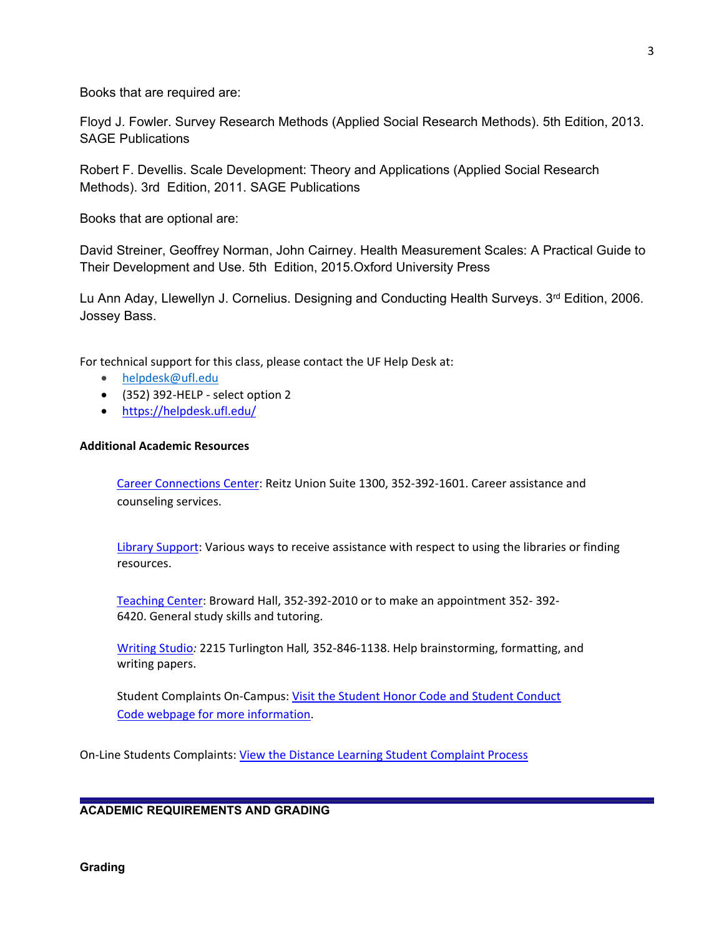Books that are required are:

Floyd J. Fowler. Survey Research Methods (Applied Social Research Methods). 5th Edition, 2013. SAGE Publications

Robert F. Devellis. Scale Development: Theory and Applications (Applied Social Research Methods). 3rd Edition, 2011. SAGE Publications

Books that are optional are:

David Streiner, Geoffrey Norman, John Cairney. Health Measurement Scales: A Practical Guide to Their Development and Use. 5th Edition, 2015.Oxford University Press

Lu Ann Aday, Llewellyn J. Cornelius. Designing and Conducting Health Surveys. 3<sup>rd</sup> Edition, 2006. Jossey Bass.

For technical support for this class, please contact the UF Help Desk at:

- [helpdesk@ufl.edu](mailto:helpdesk@ufl.edu)
- (352) 392-HELP select option 2
- <https://helpdesk.ufl.edu/>

## **Additional Academic Resources**

[Career Connections Center:](https://career.ufl.edu/) Reitz Union Suite 1300, 352-392-1601. Career assistance and counseling services.

[Library Support:](https://cms.uflib.ufl.edu/ask) Various ways to receive assistance with respect to using the libraries or finding resources.

[Teaching Center:](https://teachingcenter.ufl.edu/) Broward Hall, 352-392-2010 or to make an appointment 352- 392- 6420. General study skills and tutoring.

[Writing Studio](https://writing.ufl.edu/writing-studio/)*:* 2215 Turlington Hall*,* 352-846-1138. Help brainstorming, formatting, and writing papers.

Student Complaints On-Campus: [Visit the Student Honor Code and Student Conduct](https://sccr.dso.ufl.edu/policies/student-honor-%20code-student-conduct-code/) [Code webpage for more information.](https://sccr.dso.ufl.edu/policies/student-honor-%20code-student-conduct-code/)

On-Line Students Complaints: [View the Distance Learning Student Complaint Process](https://distance.ufl.edu/getting-help/student-complaint-process/)

# **ACADEMIC REQUIREMENTS AND GRADING**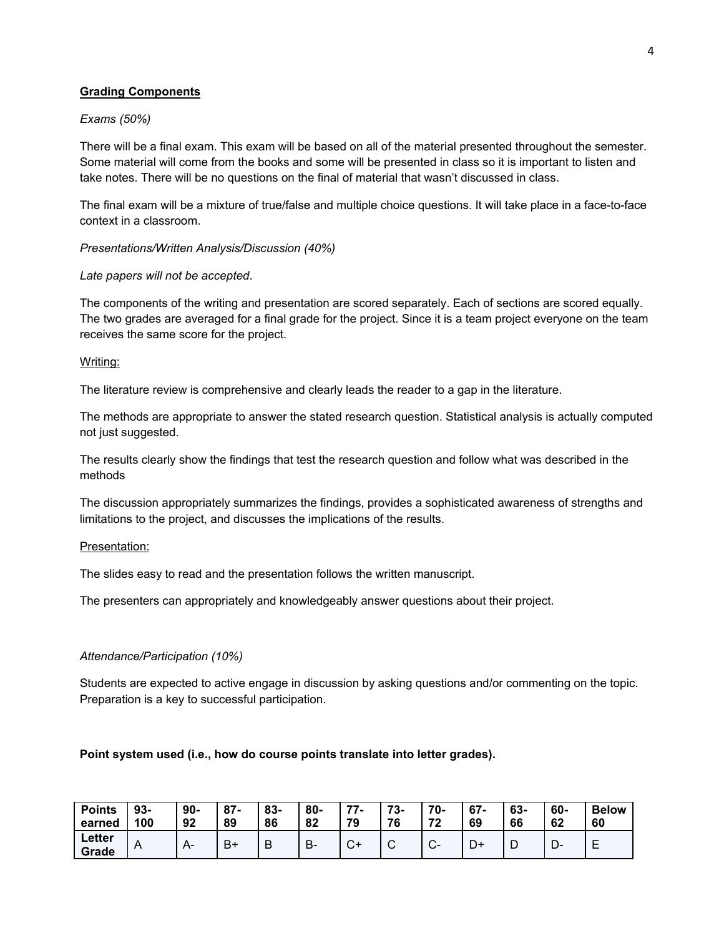# **Grading Components**

# *Exams (50%)*

There will be a final exam. This exam will be based on all of the material presented throughout the semester. Some material will come from the books and some will be presented in class so it is important to listen and take notes. There will be no questions on the final of material that wasn't discussed in class.

The final exam will be a mixture of true/false and multiple choice questions. It will take place in a face-to-face context in a classroom.

## *Presentations/Written Analysis/Discussion (40%)*

## *Late papers will not be accepted*.

The components of the writing and presentation are scored separately. Each of sections are scored equally. The two grades are averaged for a final grade for the project. Since it is a team project everyone on the team receives the same score for the project.

## Writing:

The literature review is comprehensive and clearly leads the reader to a gap in the literature.

The methods are appropriate to answer the stated research question. Statistical analysis is actually computed not just suggested.

The results clearly show the findings that test the research question and follow what was described in the methods

The discussion appropriately summarizes the findings, provides a sophisticated awareness of strengths and limitations to the project, and discusses the implications of the results.

## Presentation:

The slides easy to read and the presentation follows the written manuscript.

The presenters can appropriately and knowledgeably answer questions about their project.

# *Attendance/Participation (10%)*

Students are expected to active engage in discussion by asking questions and/or commenting on the topic. Preparation is a key to successful participation.

# **Point system used (i.e., how do course points translate into letter grades).**

| <b>Points</b><br>earned | $93 -$<br>100 | $90 -$<br>92 | 07<br>$\mathsf{o}\,\mathsf{r}$ -<br>89 | 83-<br>86 | 80-<br>82 | --<br>. .<br>79<br>м | 70<br>o.<br>76 | 70-<br>72 | 67-<br>69 | 63-<br>66 | 60-<br>62 | <b>Below</b><br>60 |
|-------------------------|---------------|--------------|----------------------------------------|-----------|-----------|----------------------|----------------|-----------|-----------|-----------|-----------|--------------------|
| Letter<br>Grade         | A             | $H^-$        | B+                                     | B         | D<br>D-   | $\sim$<br>$\sim$     | ⌒<br>ັ         | $\sim$    | ്         | ◡         | −<br>− —  | -                  |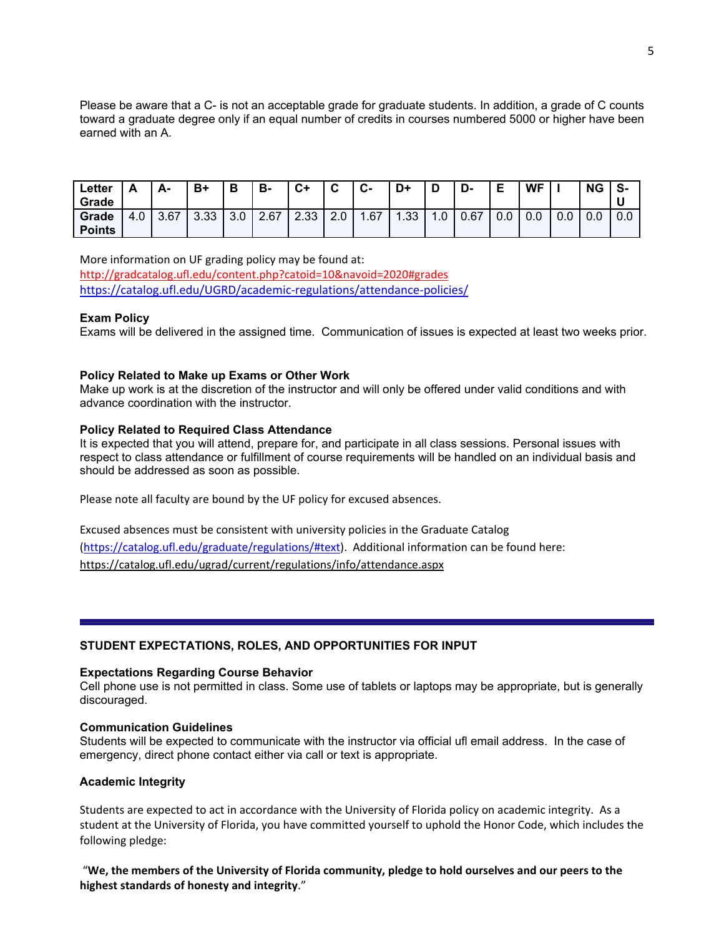Please be aware that a C- is not an acceptable grade for graduate students. In addition, a grade of C counts toward a graduate degree only if an equal number of credits in courses numbered 5000 or higher have been earned with an A.

| Letter<br>Grade        |     | Δ.   | B+                 | Ð   | в.   | C+   | r   | ◠<br>v- | D+         | D   | D-   | Е      | <b>WF</b> |     | <b>NG</b> | s-  |
|------------------------|-----|------|--------------------|-----|------|------|-----|---------|------------|-----|------|--------|-----------|-----|-----------|-----|
| Grade<br><b>Points</b> | 4.0 | 3.67 | <b>333</b><br>ບ.ບບ | 3.0 | 2.67 | 2.33 | 2.0 | .67     | 1.33<br>-1 | 1.0 | 0.67 | $\cap$ | 0.0       | 0.0 | 0.0       | 0.0 |

### More information on UF grading policy may be found at:

<http://gradcatalog.ufl.edu/content.php?catoid=10&navoid=2020#grades> <https://catalog.ufl.edu/UGRD/academic-regulations/attendance-policies/>

### **Exam Policy**

Exams will be delivered in the assigned time. Communication of issues is expected at least two weeks prior.

### **Policy Related to Make up Exams or Other Work**

Make up work is at the discretion of the instructor and will only be offered under valid conditions and with advance coordination with the instructor.

#### **Policy Related to Required Class Attendance**

It is expected that you will attend, prepare for, and participate in all class sessions. Personal issues with respect to class attendance or fulfillment of course requirements will be handled on an individual basis and should be addressed as soon as possible.

Please note all faculty are bound by the UF policy for excused absences.

Excused absences must be consistent with university policies in the Graduate Catalog [\(https://catalog.ufl.edu/graduate/regulations/#text\)](https://catalog.ufl.edu/graduate/regulations/#text). Additional information can be found here: <https://catalog.ufl.edu/ugrad/current/regulations/info/attendance.aspx>

## **STUDENT EXPECTATIONS, ROLES, AND OPPORTUNITIES FOR INPUT**

#### **Expectations Regarding Course Behavior**

Cell phone use is not permitted in class. Some use of tablets or laptops may be appropriate, but is generally discouraged.

## **Communication Guidelines**

Students will be expected to communicate with the instructor via official ufl email address. In the case of emergency, direct phone contact either via call or text is appropriate.

### **Academic Integrity**

Students are expected to act in accordance with the University of Florida policy on academic integrity. As a student at the University of Florida, you have committed yourself to uphold the Honor Code, which includes the following pledge:

"We, the members of the University of Florida community, pledge to hold ourselves and our peers to the **highest standards of honesty and integrity**."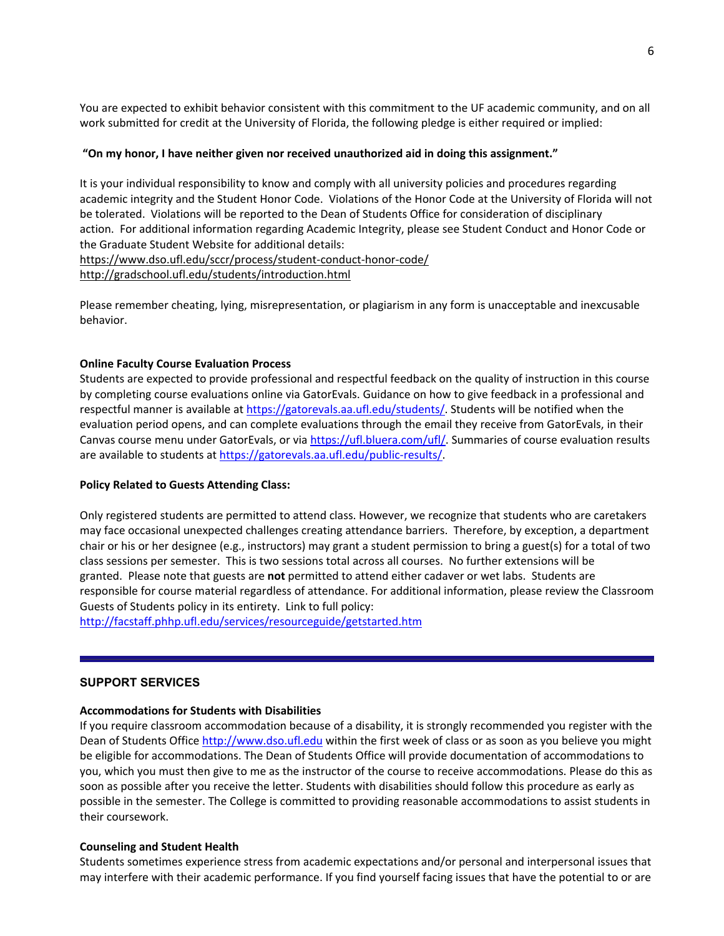You are expected to exhibit behavior consistent with this commitment to the UF academic community, and on all work submitted for credit at the University of Florida, the following pledge is either required or implied:

## **"On my honor, I have neither given nor received unauthorized aid in doing this assignment."**

It is your individual responsibility to know and comply with all university policies and procedures regarding academic integrity and the Student Honor Code. Violations of the Honor Code at the University of Florida will not be tolerated. Violations will be reported to the Dean of Students Office for consideration of disciplinary action. For additional information regarding Academic Integrity, please see Student Conduct and Honor Code or the Graduate Student Website for additional details: <https://www.dso.ufl.edu/sccr/process/student-conduct-honor-code/> <http://gradschool.ufl.edu/students/introduction.html>

Please remember cheating, lying, misrepresentation, or plagiarism in any form is unacceptable and inexcusable behavior.

## **Online Faculty Course Evaluation Process**

Students are expected to provide professional and respectful feedback on the quality of instruction in this course by completing course evaluations online via GatorEvals. Guidance on how to give feedback in a professional and respectful manner is available at [https://gatorevals.aa.ufl.edu/students/.](https://gatorevals.aa.ufl.edu/students/) Students will be notified when the evaluation period opens, and can complete evaluations through the email they receive from GatorEvals, in their Canvas course menu under GatorEvals, or via [https://ufl.bluera.com/ufl/.](https://urldefense.proofpoint.com/v2/url?u=https-3A__ufl.bluera.com_ufl_&d=DwMFAg&c=sJ6xIWYx-zLMB3EPkvcnVg&r=y2HjEMjRMHJhfdvLrqJZlYczRsfp5e4TfQjHuc5rVHg&m=WXko6OK_Ha6T00ZVAsEaSh99qRXHOgMNFRywCoehRho&s=itVU46DDJjnIg4CW6efJOOLgPjdzsPvCghyfzJoFONs&e=) Summaries of course evaluation results are available to students at [https://gatorevals.aa.ufl.edu/public-results/.](https://gatorevals.aa.ufl.edu/public-results/)

#### **Policy Related to Guests Attending Class:**

Only registered students are permitted to attend class. However, we recognize that students who are caretakers may face occasional unexpected challenges creating attendance barriers. Therefore, by exception, a department chair or his or her designee (e.g., instructors) may grant a student permission to bring a guest(s) for a total of two class sessions per semester. This is two sessions total across all courses. No further extensions will be granted. Please note that guests are **not** permitted to attend either cadaver or wet labs. Students are responsible for course material regardless of attendance. For additional information, please review the Classroom Guests of Students policy in its entirety. Link to full policy:

<http://facstaff.phhp.ufl.edu/services/resourceguide/getstarted.htm>

## **SUPPORT SERVICES**

## **Accommodations for Students with Disabilities**

If you require classroom accommodation because of a disability, it is strongly recommended you register with the Dean of Students Office [http://www.dso.ufl.edu](http://www.dso.ufl.edu/) within the first week of class or as soon as you believe you might be eligible for accommodations. The Dean of Students Office will provide documentation of accommodations to you, which you must then give to me as the instructor of the course to receive accommodations. Please do this as soon as possible after you receive the letter. Students with disabilities should follow this procedure as early as possible in the semester. The College is committed to providing reasonable accommodations to assist students in their coursework.

#### **Counseling and Student Health**

Students sometimes experience stress from academic expectations and/or personal and interpersonal issues that may interfere with their academic performance. If you find yourself facing issues that have the potential to or are